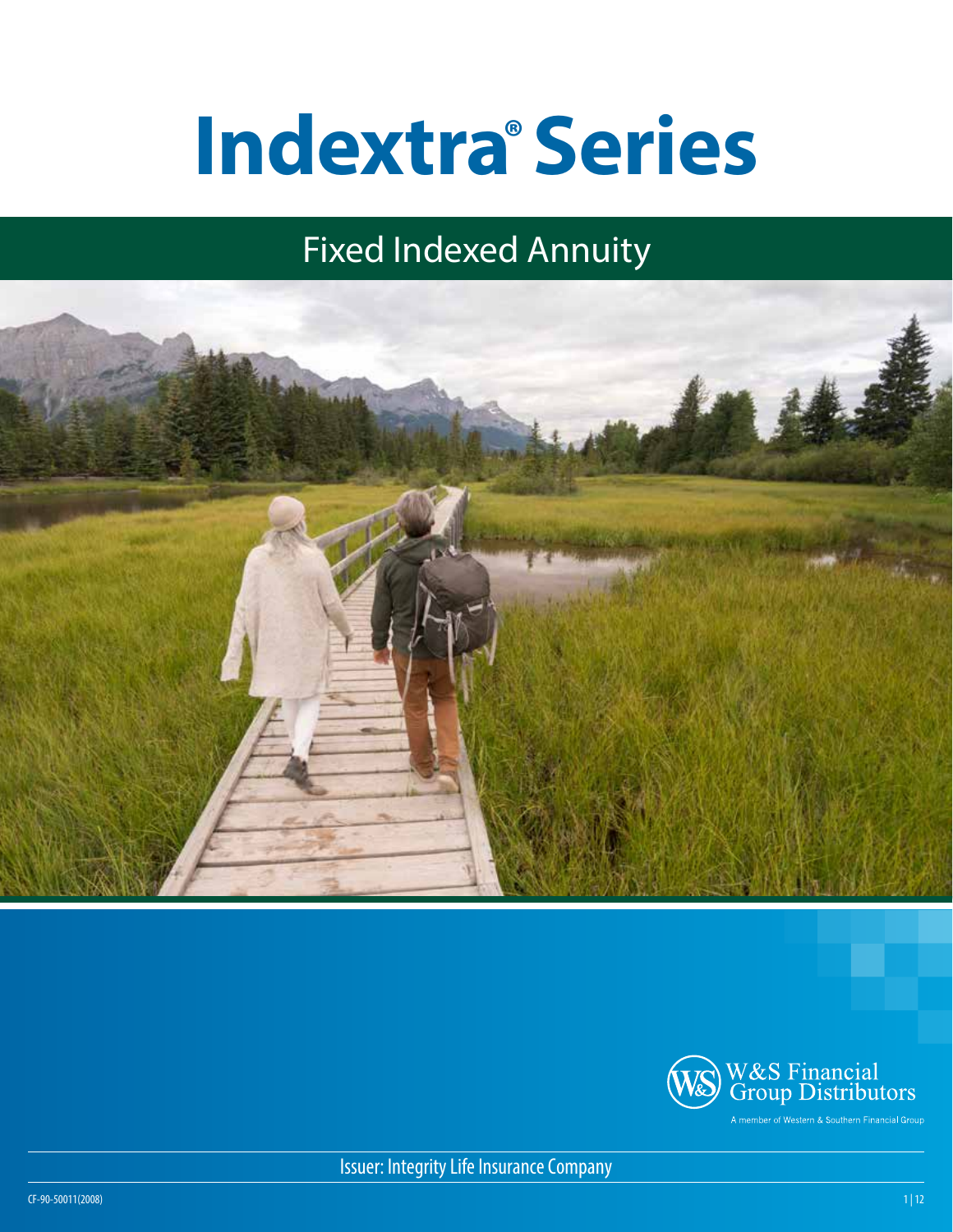# **Indextra®Series**

# Fixed Indexed Annuity





Issuer: Integrity Life Insurance Company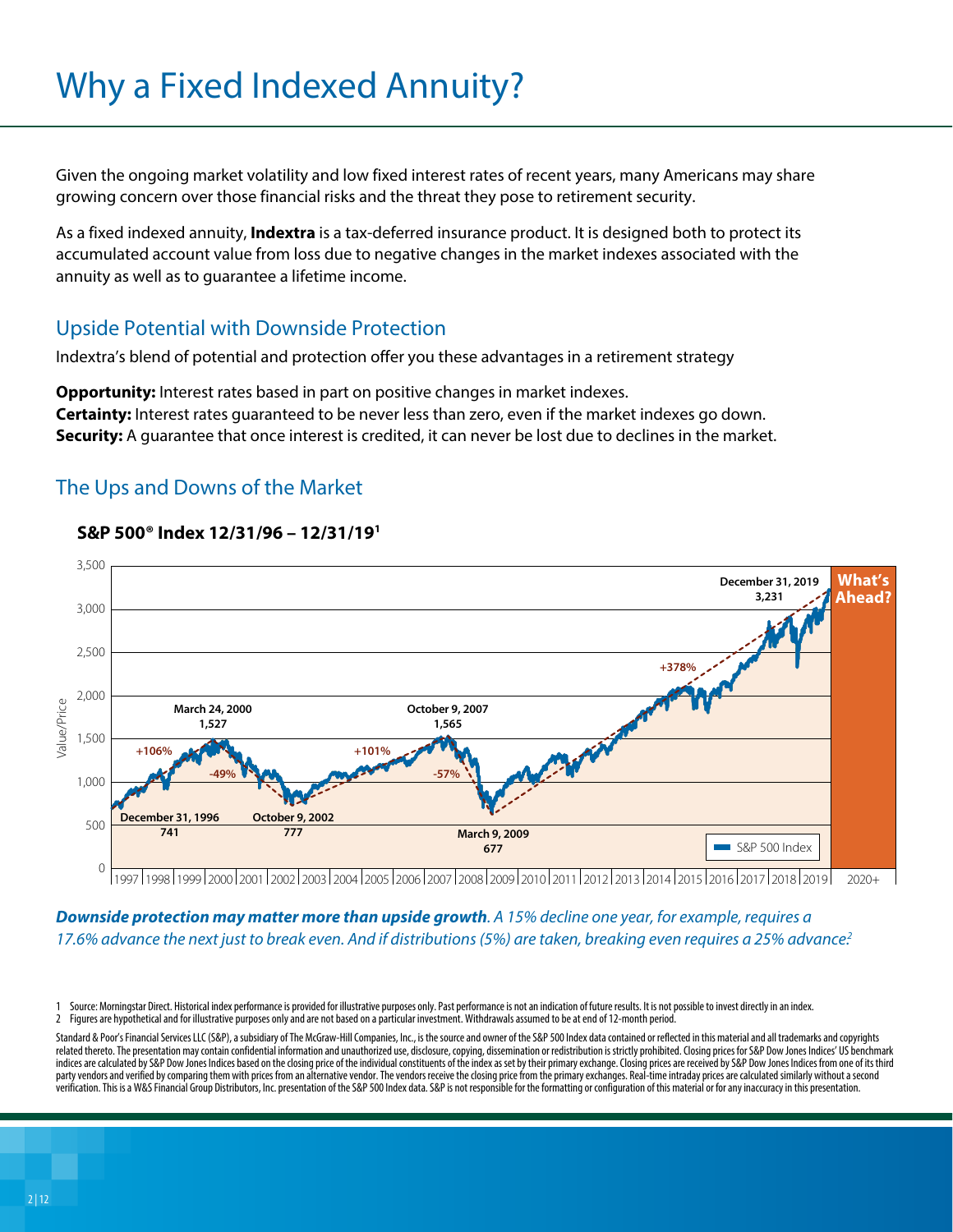## Why a Fixed Indexed Annuity?

Given the ongoing market volatility and low fixed interest rates of recent years, many Americans may share growing concern over those financial risks and the threat they pose to retirement security.

As a fixed indexed annuity, **Indextra** is a tax-deferred insurance product. It is designed both to protect its accumulated account value from loss due to negative changes in the market indexes associated with the annuity as well as to guarantee a lifetime income.

#### Upside Potential with Downside Protection

Indextra's blend of potential and protection offer you these advantages in a retirement strategy

**Opportunity:** Interest rates based in part on positive changes in market indexes. **Certainty:** Interest rates guaranteed to be never less than zero, even if the market indexes go down. **Security:** A guarantee that once interest is credited, it can never be lost due to declines in the market.

#### The Ups and Downs of the Market



#### **S&P 500® Index 12/31/96 – 12/31/191**

1997 1998 1999 2000 2001 2002 2003 2004 2005 2006 2007 2008 2009 2010 2011 2012 2013 2014 2015 2016 2017 2018 2019 2020+

*Downside protection may matter more than upside growth. A 15% decline one year, for example, requires a 17.6% advance the next just to break even. And if distributions (5%) are taken, breaking even requires a 25% advance.2*

Source: Morningstar Direct. Historical index performance is provided for illustrative purposes only. Past performance is not an indication of future results. It is not possible to invest directly in an index. 2 Figures are hypothetical and for illustrative purposes only and are not based on a particular investment. Withdrawals assumed to be at end of 12-month period.

Standard & Poor's Financial Services LLC (S&P), a subsidiary of The McGraw-Hill Companies, Inc., is the source and owner of the S&P 500 Index data contained or reflected in this material and all trademarks and copyrights related thereto. The presentation may contain confidential information and unauthorized use, disclosure, copying, dissemination or redistribution is strictly prohibited. Closing prices for S&P Dow Jones Indices' US benchmark indices are calculated by S&P Dow Jones Indices based on the closing price of the individual constituents of the index as set by their primary exchange. Closing prices are received by S&P Dow Jones Indices from one of its party vendors and verified by comparing them with prices from an alternative vendor. The vendors receive the closing price from the primary exchanges. Real-time intraday prices are calculated similarly without a second verification. This is a W&S Financial Group Distributors, Inc. presentation of the S&P 500 Index data. S&P is not responsible for the formatting or configuration of this material or for any inaccuracy in this presentation.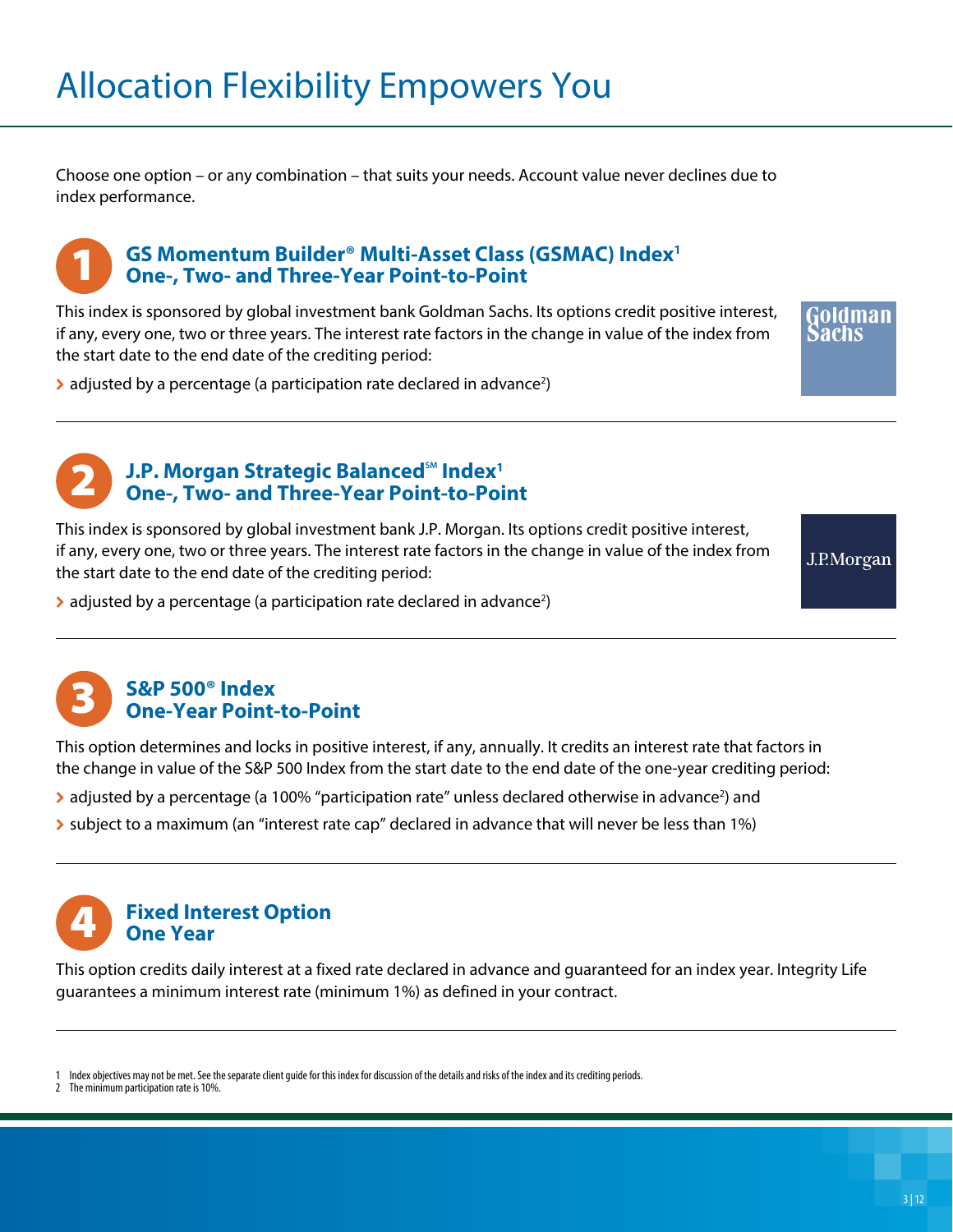Choose one option – or any combination – that suits your needs. Account value never declines due to index performance.

#### **GS Momentum Builder® Multi-Asset Class (GSMAC) Index1 One-, Two- and Three-Year Point-to-Point** 1

This index is sponsored by global investment bank Goldman Sachs. Its options credit positive interest, if any, every one, two or three years. The interest rate factors in the change in value of the index from the start date to the end date of the crediting period:

oldman

 $\blacktriangleright$  adjusted by a percentage (a participation rate declared in advance<sup>2</sup>)



#### **J.P. Morgan Strategic Balanced<sup>SM</sup> Index<sup>1</sup> One-, Two- and Three-Year Point-to-Point**

This index is sponsored by global investment bank J.P. Morgan. Its options credit positive interest, if any, every one, two or three years. The interest rate factors in the change in value of the index from the start date to the end date of the crediting period:

J.P.Morgan

 $\blacktriangleright$  adjusted by a percentage (a participation rate declared in advance<sup>2</sup>)



This option determines and locks in positive interest, if any, annually. It credits an interest rate that factors in the change in value of the S&P 500 Index from the start date to the end date of the one-year crediting period:

- > adjusted by a percentage (a 100% "participation rate" unless declared otherwise in advance<sup>2</sup>) and
- $\triangleright$  subject to a maximum (an "interest rate cap" declared in advance that will never be less than 1%)



This option credits daily interest at a fixed rate declared in advance and guaranteed for an index year. Integrity Life guarantees a minimum interest rate (minimum 1%) as defined in your contract.

Index objectives may not be met. See the separate client quide for this index for discussion of the details and risks of the index and its crediting periods.

The minimum participation rate is 10%.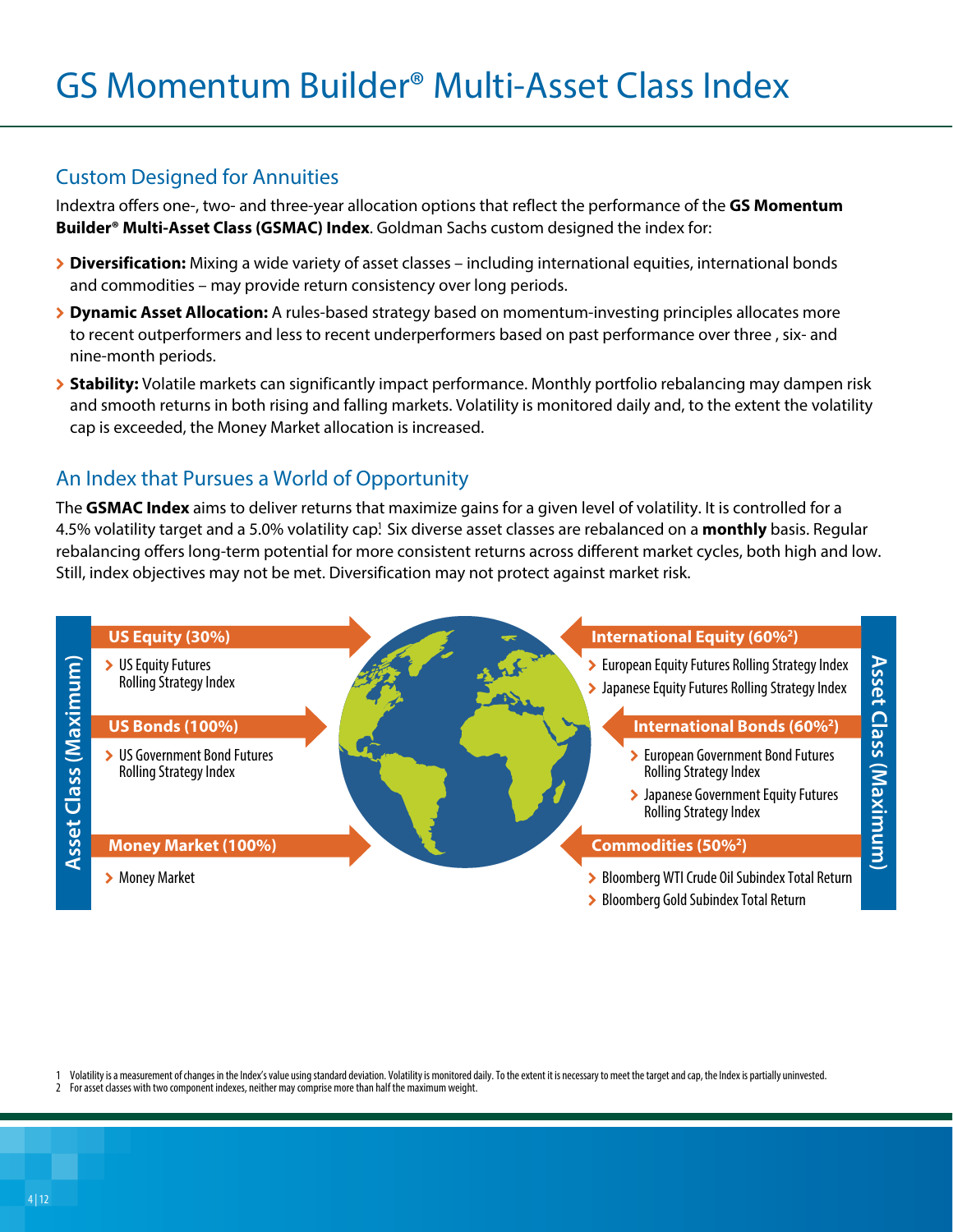#### Custom Designed for Annuities

Indextra offers one-, two- and three-year allocation options that reflect the performance of the **GS Momentum Builder® Multi-Asset Class (GSMAC) Index**. Goldman Sachs custom designed the index for:

- **▶ Diversification:** Mixing a wide variety of asset classes including international equities, international bonds and commodities – may provide return consistency over long periods.
- \ **Dynamic Asset Allocation:** A rules-based strategy based on momentum-investing principles allocates more to recent outperformers and less to recent underperformers based on past performance over three , six- and nine-month periods.
- \ **Stability:** Volatile markets can significantly impact performance. Monthly portfolio rebalancing may dampen risk and smooth returns in both rising and falling markets. Volatility is monitored daily and, to the extent the volatility cap is exceeded, the Money Market allocation is increased.

#### An Index that Pursues a World of Opportunity

The **GSMAC Index** aims to deliver returns that maximize gains for a given level of volatility. It is controlled for a 4.5% volatility target and a 5.0% volatility cap<sup>1</sup>. Six diverse asset classes are rebalanced on a **monthly** basis. Regular rebalancing offers long-term potential for more consistent returns across different market cycles, both high and low. Still, index objectives may not be met. Diversification may not protect against market risk.



1 Volatility is a measurement of changes in the Index's value using standard deviation. Volatility is monitored daily. To the extent it is necessary to meet the target and cap, the Index is partially uninvested.

For asset classes with two component indexes, neither may comprise more than half the maximum weight.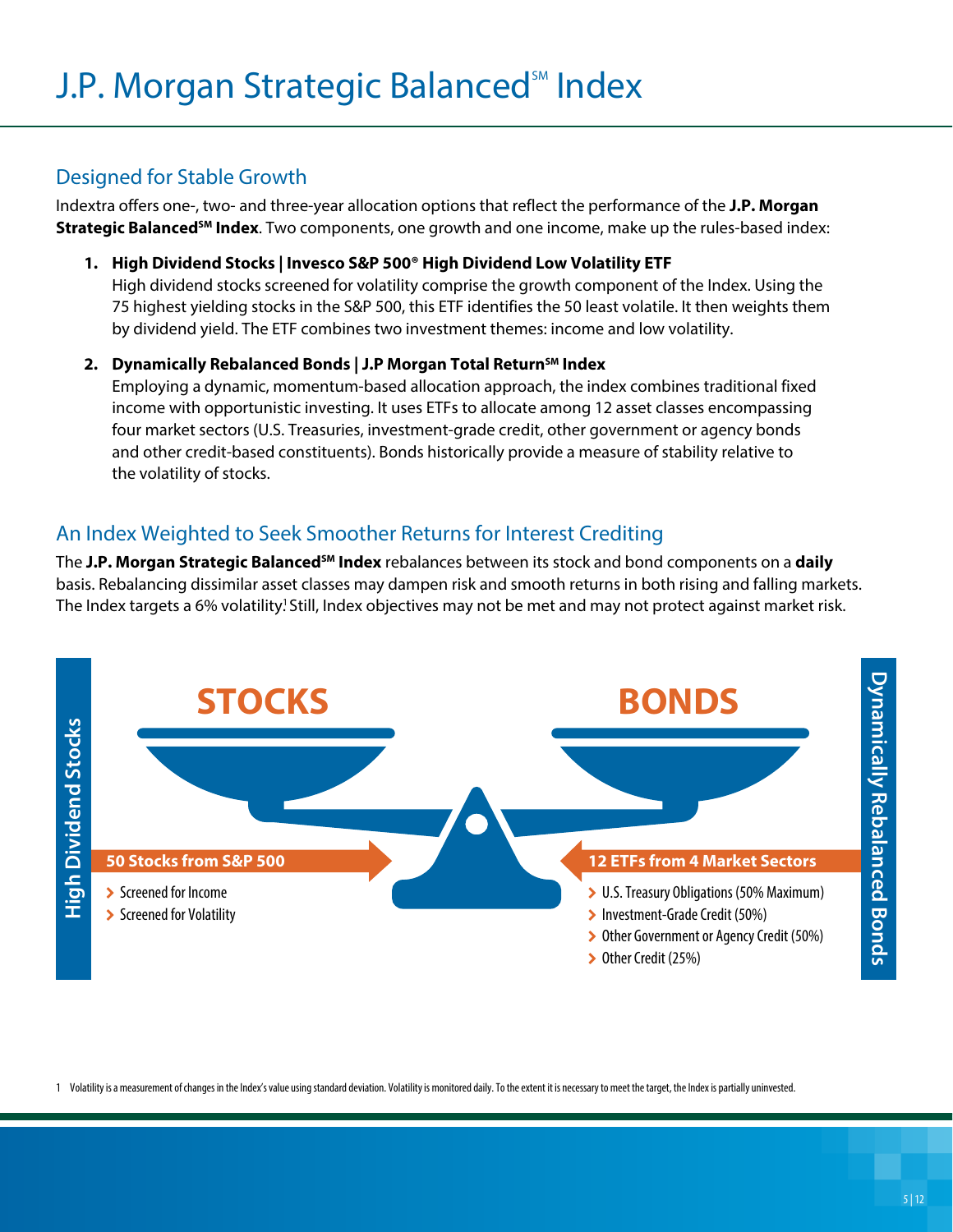#### Designed for Stable Growth

Indextra offers one-, two- and three-year allocation options that reflect the performance of the **J.P. Morgan Strategic Balanced<sup>SM</sup> Index**. Two components, one growth and one income, make up the rules-based index:

**1. High Dividend Stocks | Invesco S&P 500® High Dividend Low Volatility ETF**

High dividend stocks screened for volatility comprise the growth component of the Index. Using the 75 highest yielding stocks in the S&P 500, this ETF identifies the 50 least volatile. It then weights them by dividend yield. The ETF combines two investment themes: income and low volatility.

#### 2. Dynamically Rebalanced Bonds | J.P Morgan Total Return<sup>sM</sup> Index

Employing a dynamic, momentum-based allocation approach, the index combines traditional fixed income with opportunistic investing. It uses ETFs to allocate among 12 asset classes encompassing four market sectors (U.S. Treasuries, investment-grade credit, other government or agency bonds and other credit-based constituents). Bonds historically provide a measure of stability relative to the volatility of stocks.

#### An Index Weighted to Seek Smoother Returns for Interest Crediting

The **J.P. Morgan Strategic BalancedSM Index** rebalances between its stock and bond components on a **daily** basis. Rebalancing dissimilar asset classes may dampen risk and smooth returns in both rising and falling markets. The Index targets a 6% volatility! Still, Index objectives may not be met and may not protect against market risk.



1 Volatility is a measurement of changes in the Index's value using standard deviation. Volatility is monitored daily. To the extent it is necessary to meet the target, the Index is partially uninvested.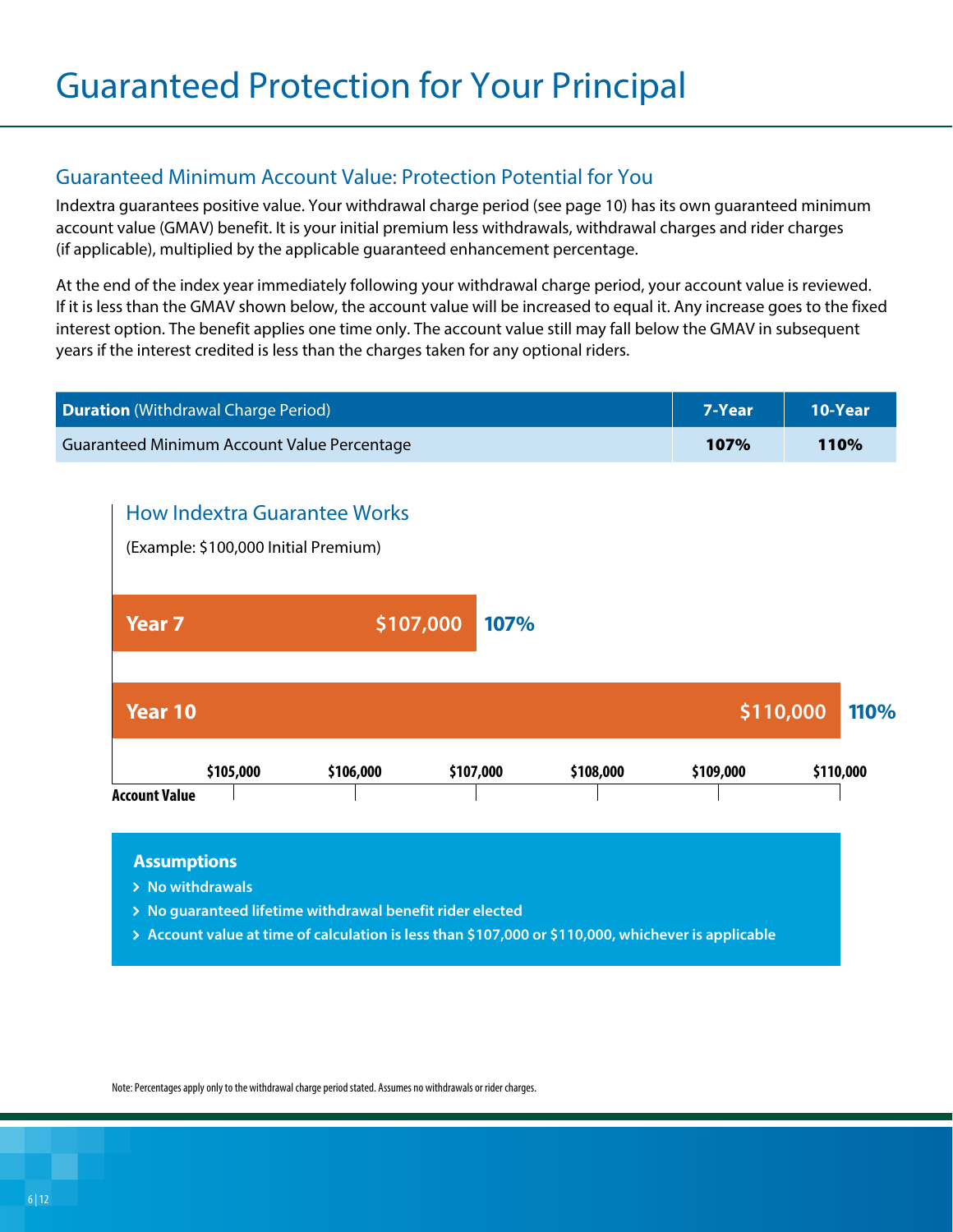#### Guaranteed Minimum Account Value: Protection Potential for You

Indextra guarantees positive value. Your withdrawal charge period (see page 10) has its own guaranteed minimum account value (GMAV) benefit. It is your initial premium less withdrawals, withdrawal charges and rider charges (if applicable), multiplied by the applicable guaranteed enhancement percentage.

At the end of the index year immediately following your withdrawal charge period, your account value is reviewed. If it is less than the GMAV shown below, the account value will be increased to equal it. Any increase goes to the fixed interest option. The benefit applies one time only. The account value still may fall below the GMAV in subsequent years if the interest credited is less than the charges taken for any optional riders.

| <b>Duration</b> (Withdrawal Charge Period)                                                          |           |           |           |           | 7-Year    | 10-Year   |
|-----------------------------------------------------------------------------------------------------|-----------|-----------|-----------|-----------|-----------|-----------|
| Guaranteed Minimum Account Value Percentage                                                         |           |           |           |           | 107%      | 110%      |
| <b>How Indextra Guarantee Works</b><br>(Example: \$100,000 Initial Premium)                         |           |           |           |           |           |           |
| <b>Year 7</b>                                                                                       |           | \$107,000 | 107%      |           |           |           |
| Year 10                                                                                             |           |           |           |           | \$110,000 | 110%      |
| \$105,000                                                                                           | \$106,000 |           | \$107,000 | \$108,000 | \$109,000 | \$110,000 |
| <b>Account Value</b>                                                                                |           |           |           |           |           |           |
| <b>Assumptions</b><br>> No withdrawals<br>> No quaranteed lifetime withdrawal benefit rider elected |           |           |           |           |           |           |

**Account value at time of calculation is less than \$107,000 or \$110,000, whichever is applicable**

Note: Percentages apply only to the withdrawal charge period stated. Assumes no withdrawals or rider charges.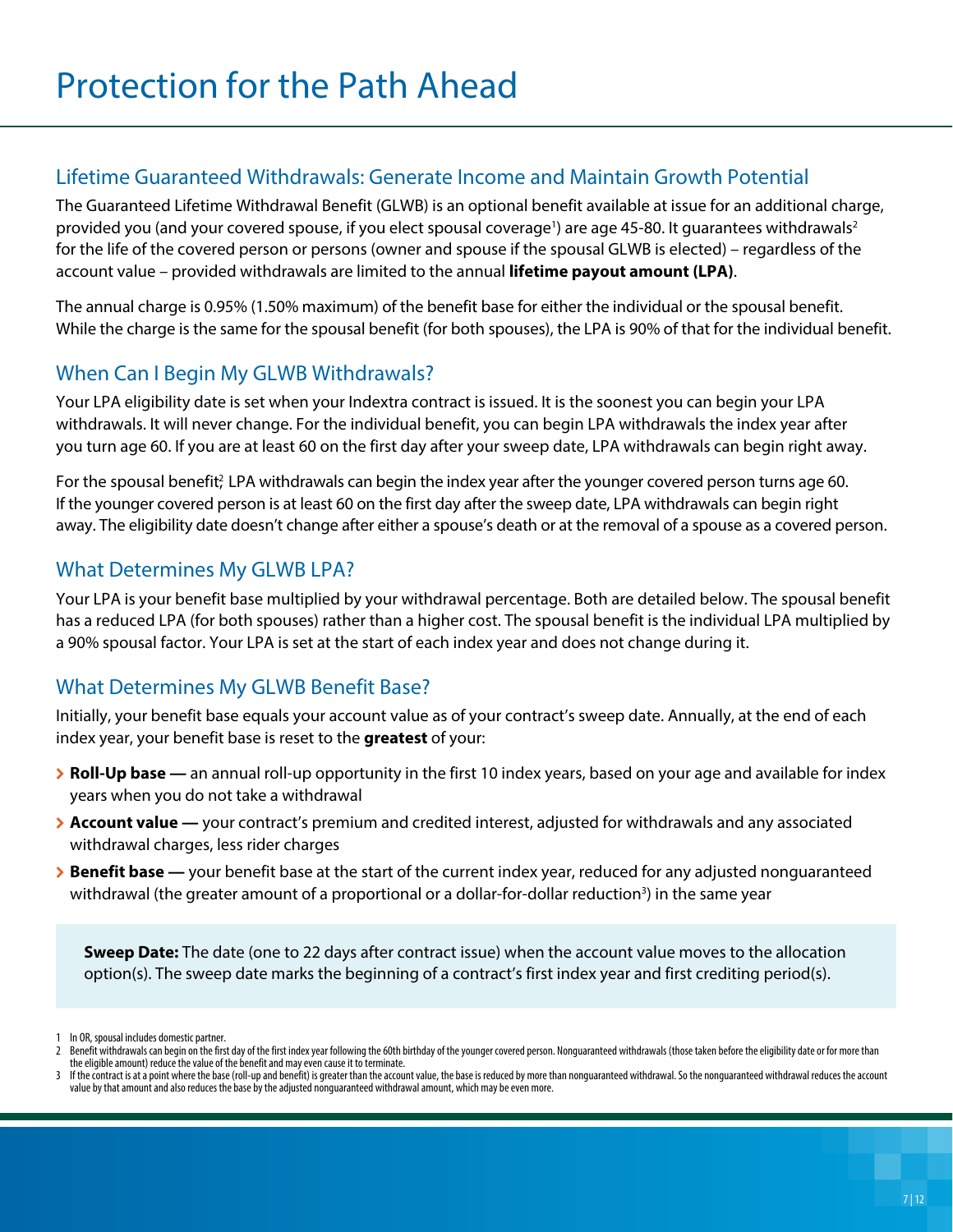#### Lifetime Guaranteed Withdrawals: Generate Income and Maintain Growth Potential

The Guaranteed Lifetime Withdrawal Benefit (GLWB) is an optional benefit available at issue for an additional charge, provided you (and your covered spouse, if you elect spousal coverage<sup>1</sup>) are age 45-80. It guarantees withdrawals<sup>2</sup> for the life of the covered person or persons (owner and spouse if the spousal GLWB is elected) – regardless of the account value – provided withdrawals are limited to the annual **lifetime payout amount (LPA)**.

The annual charge is 0.95% (1.50% maximum) of the benefit base for either the individual or the spousal benefit. While the charge is the same for the spousal benefit (for both spouses), the LPA is 90% of that for the individual benefit.

### When Can I Begin My GLWB Withdrawals?

Your LPA eligibility date is set when your Indextra contract is issued. It is the soonest you can begin your LPA withdrawals. It will never change. For the individual benefit, you can begin LPA withdrawals the index year after you turn age 60. If you are at least 60 on the first day after your sweep date, LPA withdrawals can begin right away.

For the spousal benefit? LPA withdrawals can begin the index year after the younger covered person turns age 60. If the younger covered person is at least 60 on the first day after the sweep date, LPA withdrawals can begin right away. The eligibility date doesn't change after either a spouse's death or at the removal of a spouse as a covered person.

#### What Determines My GLWB LPA?

Your LPA is your benefit base multiplied by your withdrawal percentage. Both are detailed below. The spousal benefit has a reduced LPA (for both spouses) rather than a higher cost. The spousal benefit is the individual LPA multiplied by a 90% spousal factor. Your LPA is set at the start of each index year and does not change during it.

### What Determines My GLWB Benefit Base?

Initially, your benefit base equals your account value as of your contract's sweep date. Annually, at the end of each index year, your benefit base is reset to the **greatest** of your:

- **Example 3 > Roll-Up base** an annual roll-up opportunity in the first 10 index years, based on your age and available for index years when you do not take a withdrawal
- \ **Account value —** your contract's premium and credited interest, adjusted for withdrawals and any associated withdrawal charges, less rider charges
- \ **Benefit base —** your benefit base at the start of the current index year, reduced for any adjusted nonguaranteed withdrawal (the greater amount of a proportional or a dollar-for-dollar reduction<sup>3</sup>) in the same year

**Sweep Date:** The date (one to 22 days after contract issue) when the account value moves to the allocation option(s). The sweep date marks the beginning of a contract's first index year and first crediting period(s).

<sup>1</sup> In OR, spousal includes domestic partner.<br>2 Benefit withdrawals can begin on the firs

Benefit withdrawals can begin on the first day of the first index year following the 60th birthday of the younger covered person. Nonguaranteed withdrawals (those taken before the eligibility date or for more than the eligible amount) reduce the value of the benefit and may even cause it to terminate.

<sup>3</sup> If the contract is at a point where the base (roll-up and benefit) is greater than the account value, the base is reduced by more than nonguaranteed withdrawal. So the nonguaranteed withdrawal reduces the account value by that amount and also reduces the base by the adjusted nonguaranteed withdrawal amount, which may be even more.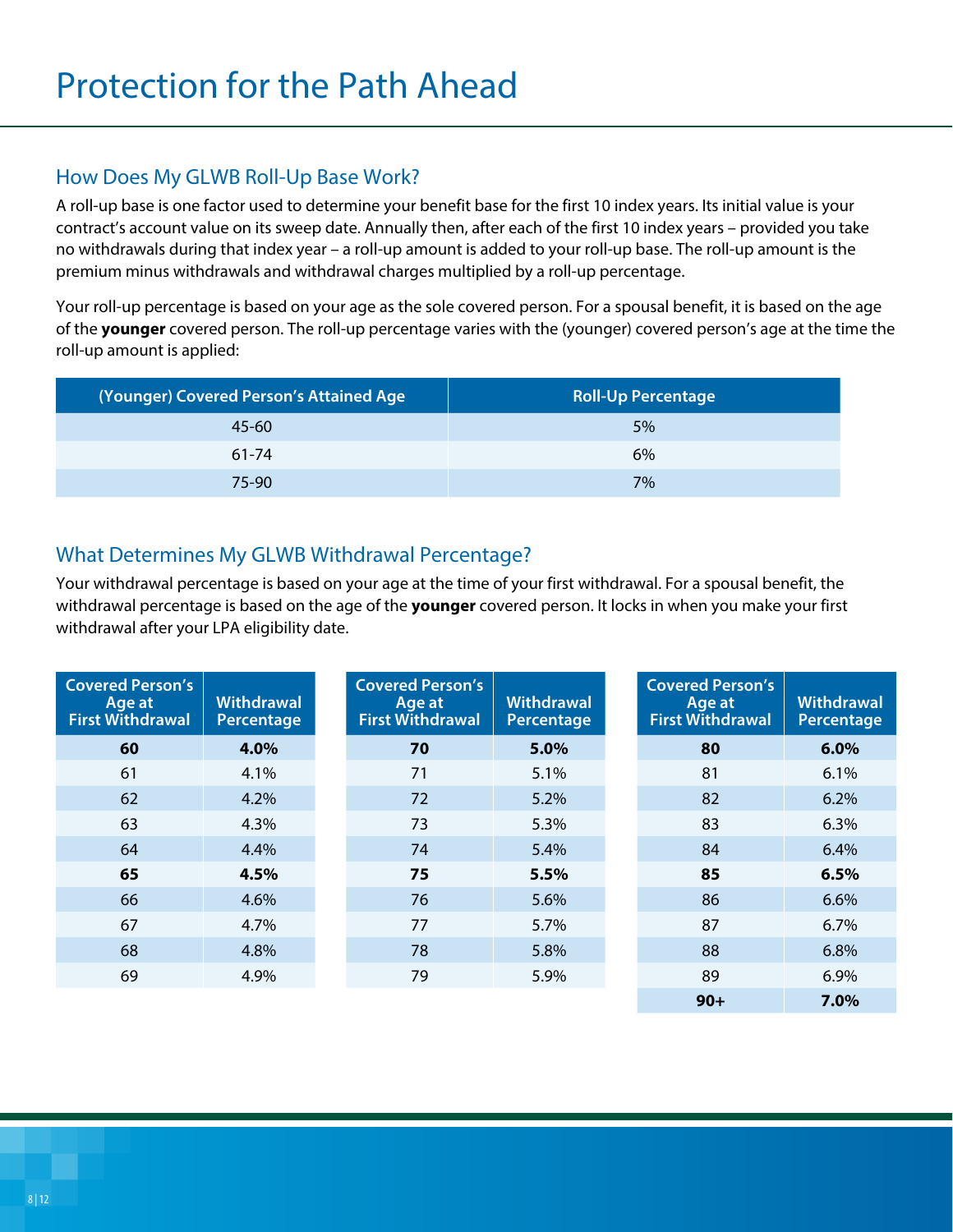#### How Does My GLWB Roll-Up Base Work?

A roll-up base is one factor used to determine your benefit base for the first 10 index years. Its initial value is your contract's account value on its sweep date. Annually then, after each of the first 10 index years – provided you take no withdrawals during that index year – a roll-up amount is added to your roll-up base. The roll-up amount is the premium minus withdrawals and withdrawal charges multiplied by a roll-up percentage.

Your roll-up percentage is based on your age as the sole covered person. For a spousal benefit, it is based on the age of the **younger** covered person. The roll-up percentage varies with the (younger) covered person's age at the time the roll-up amount is applied:

| (Younger) Covered Person's Attained Age | <b>Roll-Up Percentage</b> |
|-----------------------------------------|---------------------------|
| $45 - 60$                               | 5%                        |
| $61 - 74$                               | 6%                        |
| $75 - 90$                               | 7%                        |

#### What Determines My GLWB Withdrawal Percentage?

Your withdrawal percentage is based on your age at the time of your first withdrawal. For a spousal benefit, the withdrawal percentage is based on the age of the **younger** covered person. It locks in when you make your first withdrawal after your LPA eligibility date.

| <b>Covered Person's</b><br>Age at<br><b>First Withdrawal</b> | <b>Withdrawal</b><br>Percentage | <b>Covered Person's</b><br>Age at<br><b>First Withdrawal</b> | <b>Withdrawal</b><br>Percentage | <b>Covered Person's</b><br>Age at<br><b>First Withdrawal</b> | <b>Withdrawal</b><br>Percentage |
|--------------------------------------------------------------|---------------------------------|--------------------------------------------------------------|---------------------------------|--------------------------------------------------------------|---------------------------------|
| 60                                                           | 4.0%                            | 70                                                           | 5.0%                            | 80                                                           | 6.0%                            |
| 61                                                           | 4.1%                            | 71                                                           | 5.1%                            | 81                                                           | 6.1%                            |
| 62                                                           | 4.2%                            | 72                                                           | 5.2%                            | 82                                                           | 6.2%                            |
| 63                                                           | 4.3%                            | 73                                                           | 5.3%                            | 83                                                           | 6.3%                            |
| 64                                                           | 4.4%                            | 74                                                           | 5.4%                            | 84                                                           | 6.4%                            |
| 65                                                           | 4.5%                            | 75                                                           | 5.5%                            | 85                                                           | 6.5%                            |
| 66                                                           | 4.6%                            | 76                                                           | 5.6%                            | 86                                                           | 6.6%                            |
| 67                                                           | 4.7%                            | 77                                                           | 5.7%                            | 87                                                           | 6.7%                            |
| 68                                                           | 4.8%                            | 78                                                           | 5.8%                            | 88                                                           | 6.8%                            |
| 69                                                           | 4.9%                            | 79                                                           | 5.9%                            | 89                                                           | 6.9%                            |
|                                                              |                                 |                                                              |                                 | $90+$                                                        | $7.0\%$                         |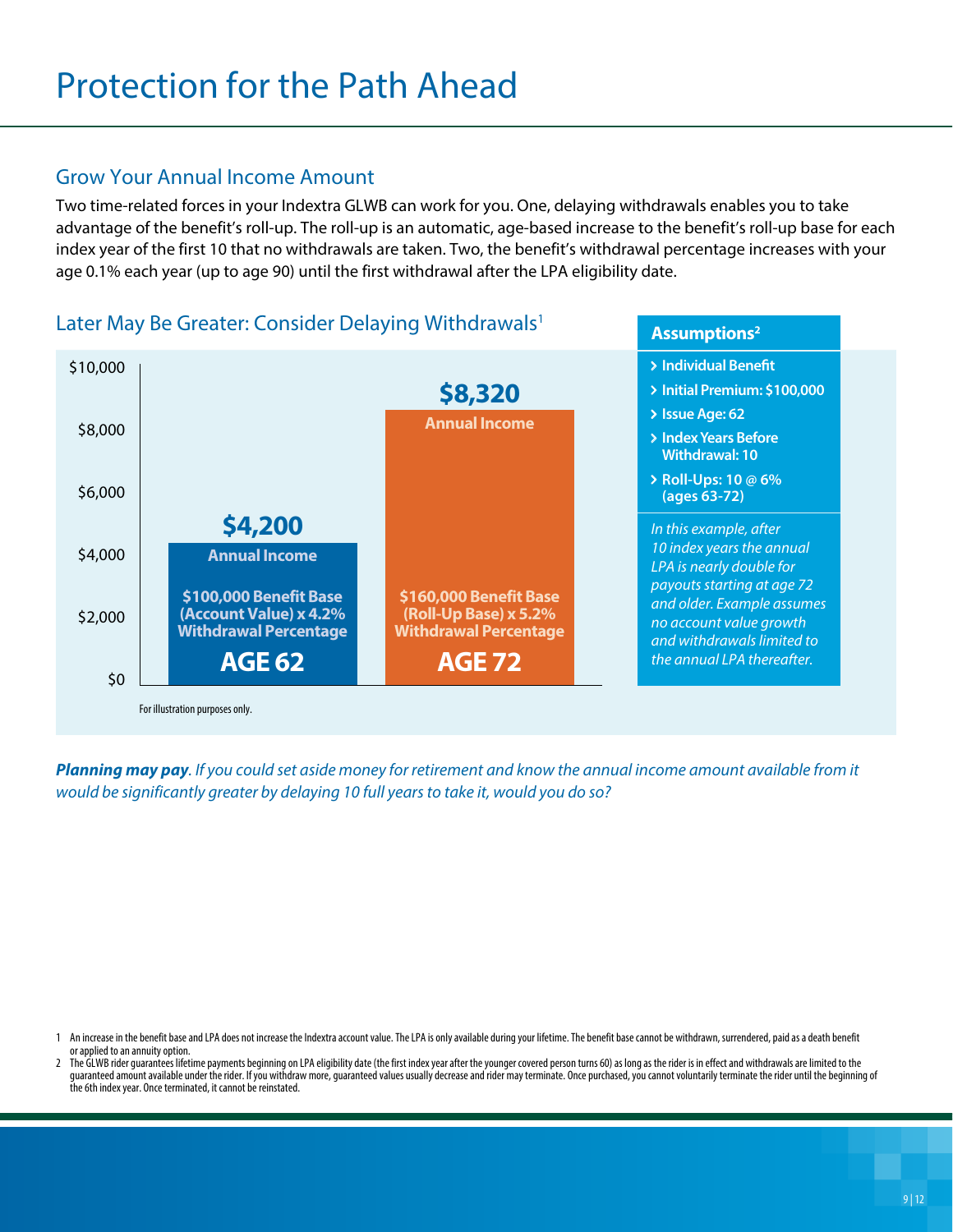#### Grow Your Annual Income Amount

Two time-related forces in your Indextra GLWB can work for you. One, delaying withdrawals enables you to take advantage of the benefit's roll-up. The roll-up is an automatic, age-based increase to the benefit's roll-up base for each index year of the first 10 that no withdrawals are taken. Two, the benefit's withdrawal percentage increases with your age 0.1% each year (up to age 90) until the first withdrawal after the LPA eligibility date.

#### Later May Be Greater: Consider Delaying Withdrawals<sup>1</sup>



*Planning may pay. If you could set aside money for retirement and know the annual income amount available from it would be significantly greater by delaying 10 full years to take it, would you do so?*

- 1 An increase in the benefit base and LPA does not increase the Indextra account value. The LPA is only available during your lifetime. The benefit base cannot be withdrawn, surrendered, paid as a death benefit or applied to an annuity option.
- The GLWB rider guarantees lifetime payments beginning on LPA eligibility date (the first index year after the younger covered person turns 60) as long as the rider is in effect and withdrawals are limited to the guaranteed amount available under the rider. If you withdraw more, guaranteed values usually decrease and rider may terminate. Once purchased, you cannot voluntarily terminate the rider until the beginning of the 6th index year. Once terminated, it cannot be reinstated.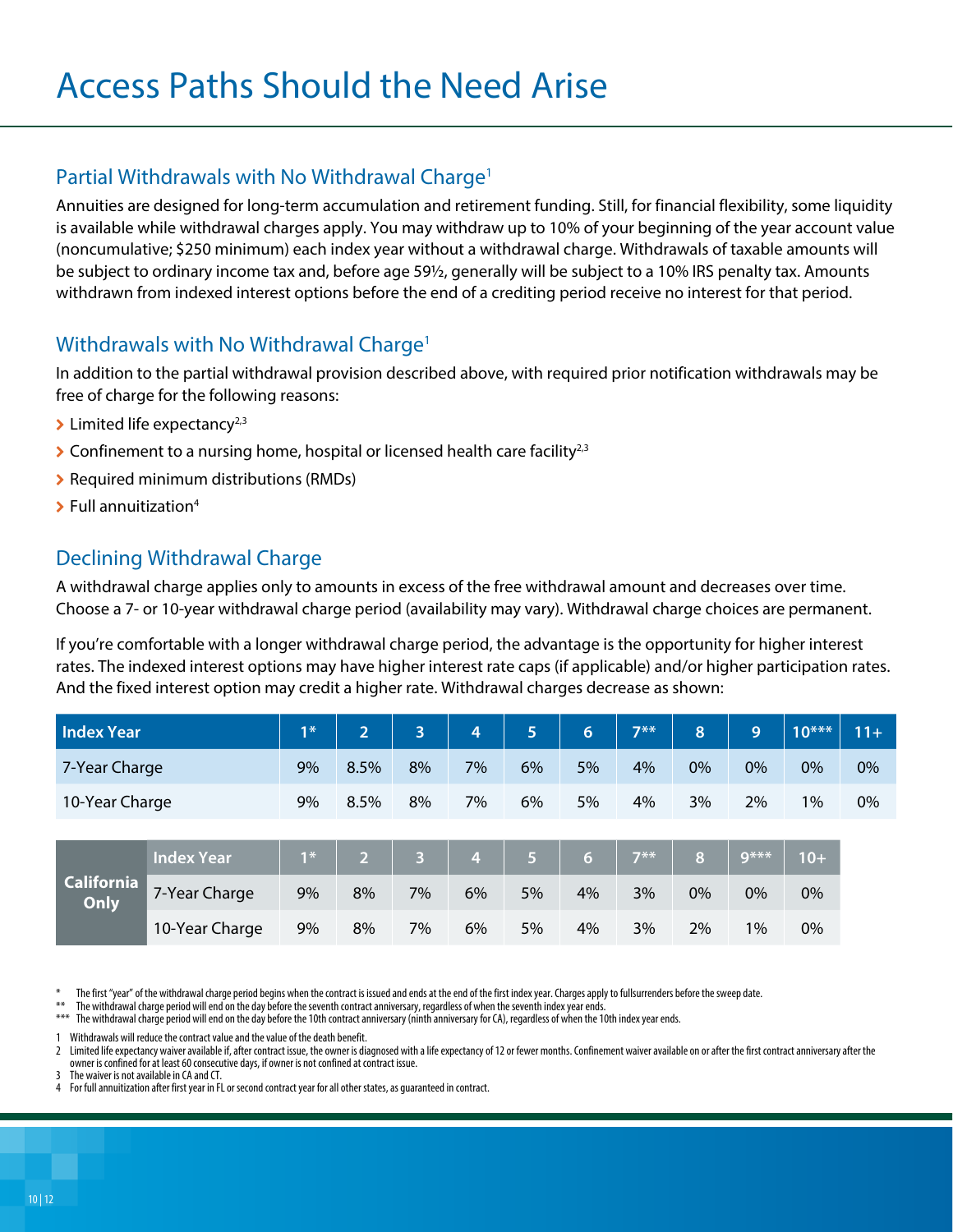#### Partial Withdrawals with No Withdrawal Charge<sup>1</sup>

Annuities are designed for long-term accumulation and retirement funding. Still, for financial flexibility, some liquidity is available while withdrawal charges apply. You may withdraw up to 10% of your beginning of the year account value (noncumulative; \$250 minimum) each index year without a withdrawal charge. Withdrawals of taxable amounts will be subject to ordinary income tax and, before age 59½, generally will be subject to a 10% IRS penalty tax. Amounts withdrawn from indexed interest options before the end of a crediting period receive no interest for that period.

#### Withdrawals with No Withdrawal Charge<sup>1</sup>

In addition to the partial withdrawal provision described above, with required prior notification withdrawals may be free of charge for the following reasons:

- $\blacktriangleright$  Limited life expectancy<sup>2,3</sup>
- $\triangleright$  Confinement to a nursing home, hospital or licensed health care facility<sup>2,3</sup>
- > Required minimum distributions (RMDs)
- $\blacktriangleright$  Full annuitization<sup>4</sup>

#### Declining Withdrawal Charge

A withdrawal charge applies only to amounts in excess of the free withdrawal amount and decreases over time. Choose a 7- or 10-year withdrawal charge period (availability may vary). Withdrawal charge choices are permanent.

If you're comfortable with a longer withdrawal charge period, the advantage is the opportunity for higher interest rates. The indexed interest options may have higher interest rate caps (if applicable) and/or higher participation rates. And the fixed interest option may credit a higher rate. Withdrawal charges decrease as shown:

| <b>Index Year</b>         |                   | $1*$ | $\overline{2}$ | 3              | 4  | 5  | 6                | $7**$ | 8  | 9      | $10***$ | $11+$ |
|---------------------------|-------------------|------|----------------|----------------|----|----|------------------|-------|----|--------|---------|-------|
| 7-Year Charge             |                   | 9%   | 8.5%           | 8%             | 7% | 6% | 5%               | 4%    | 0% | 0%     | 0%      | 0%    |
| 10-Year Charge            |                   | 9%   | 8.5%           | 8%             | 7% | 6% | 5%               | 4%    | 3% | 2%     | 1%      | 0%    |
|                           |                   |      |                |                |    |    |                  |       |    |        |         |       |
| <b>California</b><br>Only | <b>Index Year</b> | $1*$ | 2 <sup>1</sup> | $\overline{3}$ | 4  | 67 | $6 \overline{6}$ | $7**$ | 8  | $9***$ | $10+$   |       |
|                           | 7-Year Charge     | 9%   | 8%             | 7%             | 6% | 5% | 4%               | 3%    | 0% | 0%     | $0\%$   |       |
|                           |                   |      |                |                |    |    |                  |       |    |        |         |       |

10-Year Charge 9% 8% 7% 6% 5% 4% 3% 2% 1% 0%

The first "year" of the withdrawal charge period begins when the contract is issued and ends at the end of the first index year. Charges apply to fullsurrenders before the sweep date.

- \*\* The withdrawal charge period will end on the day before the seventh contract anniversary, regardless of when the seventh index year ends.
- The withdrawal charge period will end on the day before the 10th contract anniversary (ninth anniversary for CA), regardless of when the 10th index year ends.

Withdrawals will reduce the contract value and the value of the death benefit.

Limited life expectancy waiver available if, after contract issue, the owner is diagnosed with a life expectancy of 12 or fewer months. Confinement waiver available on or after the first contract anniversary after the owner is confined for at least 60 consecutive days, if owner is not confined at contract issue.

3 The waiver is not available in CA and CT.

4 For full annuitization after first year in FL or second contract year for all other states, as guaranteed in contract.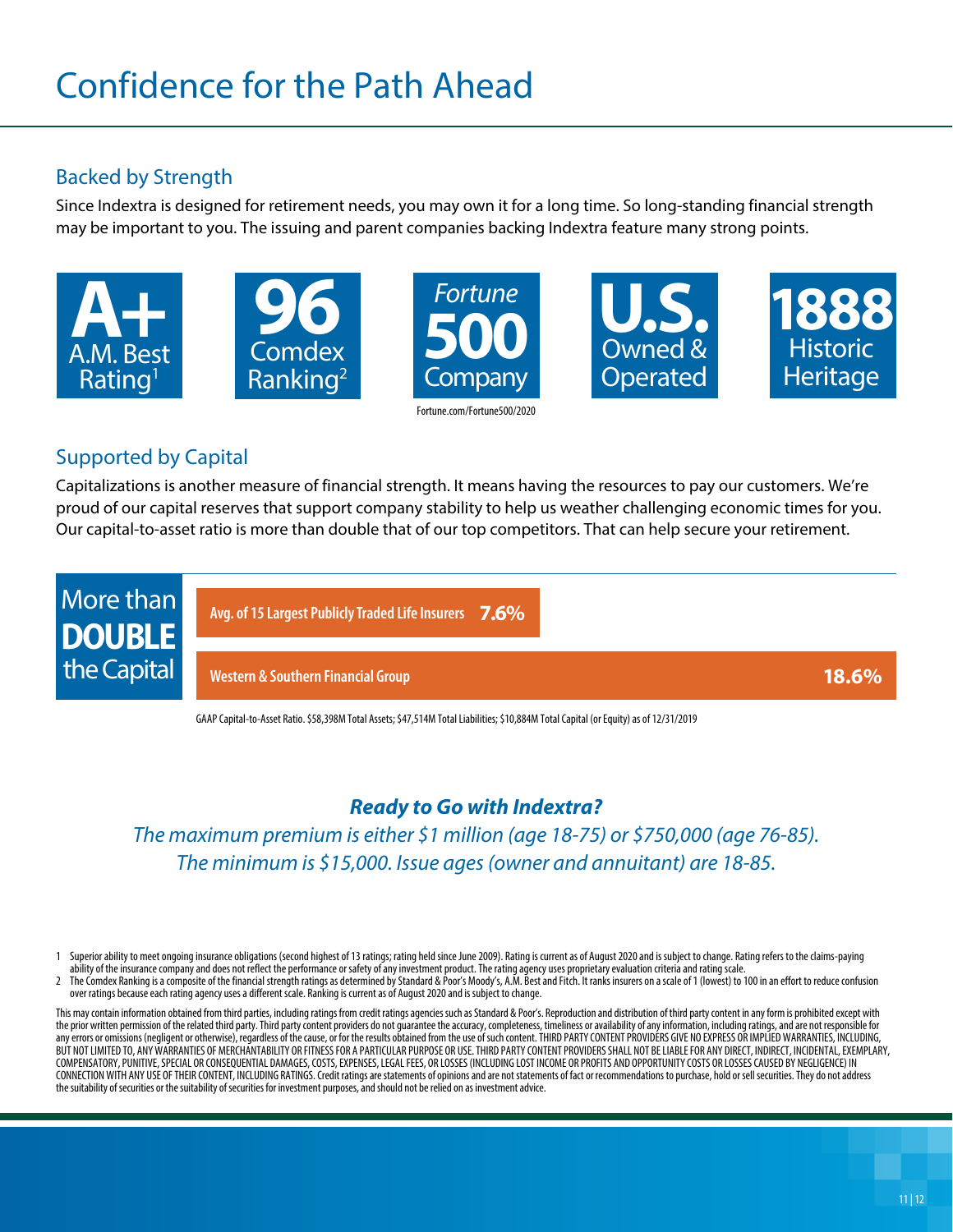#### Backed by Strength

Since Indextra is designed for retirement needs, you may own it for a long time. So long-standing financial strength may be important to you. The issuing and parent companies backing Indextra feature many strong points.



#### Supported by Capital

Capitalizations is another measure of financial strength. It means having the resources to pay our customers. We're proud of our capital reserves that support company stability to help us weather challenging economic times for you. Our capital-to-asset ratio is more than double that of our top competitors. That can help secure your retirement.



GAAP Capital-to-Asset Ratio. \$58,398M Total Assets; \$47,514M Total Liabilities; \$10,884M Total Capital (or Equity) as of 12/31/2019

### *Ready to Go with Indextra?*

*The maximum premium is either \$1 million (age 18-75) or \$750,000 (age 76-85). The minimum is \$15,000. Issue ages (owner and annuitant) are 18-85.*

1 Superior ability to meet ongoing insurance obligations (second highest of 13 ratings; rating held since June 2009). Rating is current as of August 2020 and is subject to change. Rating refers to the claims-paying ability of the insurance company and does not reflect the performance or safety of any investment product. The rating agency uses proprietary evaluation criteria and rating scale.

The Comdex Ranking is a composite of the financial strength ratings as determined by Standard & Poor's Moody's, A.M. Best and Fitch. It ranks insurers on a scale of 1 (lowest) to 100 in an effort to reduce confusion over ratings because each rating agency uses a different scale. Ranking is current as of August 2020 and is subject to change.

This may contain information obtained from third parties, including ratings from credit ratings agencies such as Standard & Poor's. Reproduction and distribution of third party content in any form is prohibited except with the prior written permission of the related third party. Third party content providers do not guarantee the accuracy, completeness, timeliness or availability of any information, including ratings, and are not responsible any errors or omissions (negligent or otherwise), regardless of the cause, or for the results obtained from the use of such content. THIRD PARTY CONTENT PROVIDERS GIVE NO EXPRESS OR IMPLIED WARRANTIES, INCLUDING, BUT NOT LIMITED TO, ANY WARRANTIES OF MERCHANTABILITY OR FITNESS FOR A PARTICULAR PURPOSE OR USE. THIRD PARTY CONTENT PROVIDERS SHALL NOT BE LIABLE FOR ANY DIRECT, INDIRECT, INCIDENTAL, EXEMPLARY, COMPENSATORY, PUNITIVE, SPECIAL OR CONSEQUENTIAL DAMAGES, COSTS, EXPENSES, LEGAL FEES, OR LOSSES (INCLUDING LOST INCOME OR PROFITS AND OPPORTUNITY COSTS OR LOSSES CAUSED BY NEGLIGENCE) IN CONNECTION WITH ANY USE OF THEIR CONTENT, INCLUDING RATINGS. Credit ratings are statements of opinions and are not statements of fact or recommendations to purchase, hold or sell securities. They do not address the suitability of securities or the suitability of securities for investment purposes, and should not be relied on as investment advice.